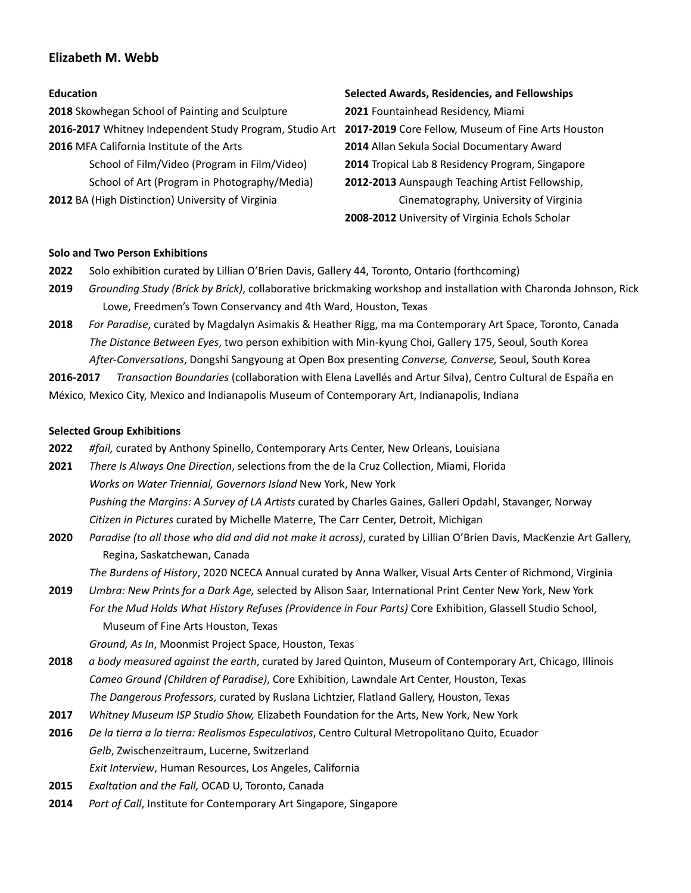# **Elizabeth M. Webb**

# **Education**

**2018** Skowhegan School of Painting and Sculpture **2016-2017** Whitney Independent Study Program, Studio Art **2017-2019** Core Fellow, Museum of Fine Arts Houston **2016** MFA California Institute of the Arts School of Film/Video (Program in Film/Video) School of Art (Program in Photography/Media)

**2012** BA (High Distinction) University of Virginia

### **Selected Awards, Residencies, and Fellowships**

**2021** Fountainhead Residency, Miami **2014** Allan Sekula Social Documentary Award **2014** Tropical Lab 8 Residency Program, Singapore **2012-2013** Aunspaugh Teaching Artist Fellowship, Cinematography, University of Virginia **2008-2012** University of Virginia Echols Scholar

# **Solo and Two Person Exhibitions**

- **2022** Solo exhibition curated by Lillian O'Brien Davis, Gallery 44, Toronto, Ontario (forthcoming)
- **2019** *Grounding Study (Brick by Brick)*, collaborative brickmaking workshop and installation with Charonda Johnson, Rick Lowe, Freedmen's Town Conservancy and 4th Ward, Houston, Texas
- **2018** *For Paradise*, curated by Magdalyn Asimakis & Heather Rigg, ma ma Contemporary Art Space, Toronto, Canada *The Distance Between Eyes*, two person exhibition with Min-kyung Choi, Gallery 175, Seoul, South Korea *After-Conversations*, Dongshi Sangyoung at Open Box presenting *Converse, Converse,* Seoul, South Korea

**2016-2017** *Transaction Boundaries* (collaboration with Elena Lavellés and Artur Silva), Centro Cultural de España en México, Mexico City, Mexico and Indianapolis Museum of Contemporary Art, Indianapolis, Indiana

# **Selected Group Exhibitions**

- **2022** *#fail,* curated by Anthony Spinello, Contemporary Arts Center, New Orleans, Louisiana
- **2021** *There Is Always One Direction*, selections from the de la Cruz Collection, Miami, Florida *Works on Water Triennial, Governors Island* New York, New York *Pushing the Margins: A Survey of LA Artists* curated by Charles Gaines, Galleri Opdahl, Stavanger, Norway *Citizen in Pictures* curated by Michelle Materre, The Carr Center, Detroit, Michigan
- **2020** *Paradise (to all those who did and did not make it across)*, curated by Lillian O'Brien Davis, MacKenzie Art Gallery, Regina, Saskatchewan, Canada

*The Burdens of History*, 2020 NCECA Annual curated by Anna Walker, Visual Arts Center of Richmond, Virginia

**2019** *Umbra: New Prints for a Dark Age,* selected by Alison Saar, International Print Center New York, New York *For the Mud Holds What History Refuses (Providence in Four Parts)* Core Exhibition, Glassell Studio School, Museum of Fine Arts Houston, Texas

*Ground, As In*, Moonmist Project Space, Houston, Texas

- **2018** *a body measured against the earth*, curated by Jared Quinton, Museum of Contemporary Art, Chicago, Illinois *Cameo Ground (Children of Paradise)*, Core Exhibition, Lawndale Art Center, Houston, Texas *The Dangerous Professors*, curated by Ruslana Lichtzier, Flatland Gallery, Houston, Texas
- **2017** *Whitney Museum ISP Studio Show,* Elizabeth Foundation for the Arts, New York, New York
- **2016** *De la tierra a la tierra: Realismos Especulativos*, Centro Cultural Metropolitano Quito, Ecuador *Gelb*, Zwischenzeitraum, Lucerne, Switzerland *Exit Interview*, Human Resources, Los Angeles, California
- **2015** *Exaltation and the Fall,* OCAD U, Toronto, Canada
- **2014** *Port of Call*, Institute for Contemporary Art Singapore, Singapore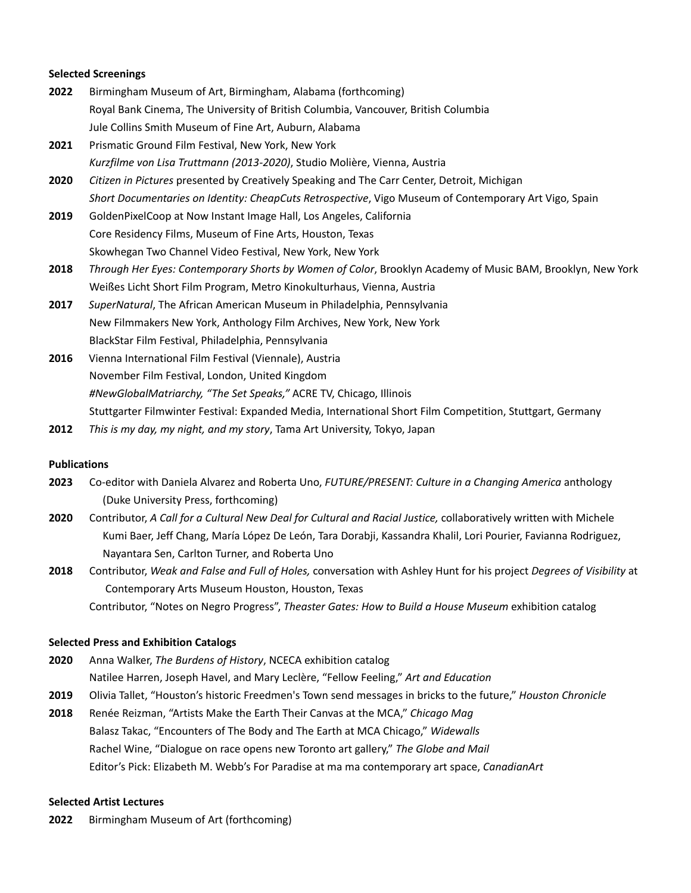### **Selected Screenings**

- **2022** Birmingham Museum of Art, Birmingham, Alabama (forthcoming) Royal Bank Cinema, The University of British Columbia, Vancouver, British Columbia Jule Collins Smith Museum of Fine Art, Auburn, Alabama
- **2021** Prismatic Ground Film Festival, New York, New York *Kurzfilme von Lisa Truttmann (2013-2020)*, Studio Molière, Vienna, Austria
- **2020** *Citizen in Pictures* presented by Creatively Speaking and The Carr Center, Detroit, Michigan *Short Documentaries on Identity: CheapCuts Retrospective*, Vigo Museum of Contemporary Art Vigo, Spain
- **2019** GoldenPixelCoop at Now Instant Image Hall, Los Angeles, California Core Residency Films, Museum of Fine Arts, Houston, Texas Skowhegan Two Channel Video Festival, New York, New York
- **2018** *Through Her Eyes: Contemporary Shorts by Women of Color*, Brooklyn Academy of Music BAM, Brooklyn, New York Weißes Licht Short Film Program, Metro Kinokulturhaus, Vienna, Austria
- **2017** *SuperNatural*, The African American Museum in Philadelphia, Pennsylvania New Filmmakers New York, Anthology Film Archives, New York, New York BlackStar Film Festival, Philadelphia, Pennsylvania
- **2016** Vienna International Film Festival (Viennale), Austria November Film Festival, London, United Kingdom *#NewGlobalMatriarchy, "The Set Speaks,"* ACRE TV, Chicago, Illinois Stuttgarter Filmwinter Festival: Expanded Media, International Short Film Competition, Stuttgart, Germany
- **2012** *This is my day, my night, and my story*, Tama Art University, Tokyo, Japan

# **Publications**

- **2023** Co-editor with Daniela Alvarez and Roberta Uno, *FUTURE/PRESENT: Culture in a Changing America* anthology (Duke University Press, forthcoming)
- **2020** Contributor, *A Call for a Cultural New Deal for Cultural and Racial Justice,* collaboratively written with Michele Kumi Baer, Jeff Chang, María López De León, Tara Dorabji, Kassandra Khalil, Lori Pourier, Favianna Rodriguez, Nayantara Sen, Carlton Turner, and Roberta Uno
- **2018** Contributor, *Weak and False and Full of Holes,* conversation with Ashley Hunt for his project *Degrees of Visibility* at Contemporary Arts Museum Houston, Houston, Texas

Contributor, "Notes on Negro Progress", *Theaster Gates: How to Build a House Museum* exhibition catalog

### **Selected Press and Exhibition Catalogs**

- **2020** Anna Walker, *The Burdens of History*, NCECA exhibition catalog Natilee Harren, Joseph Havel, and Mary Leclère, "Fellow Feeling," *Art and Education*
- **2019** Olivia Tallet, "Houston's historic Freedmen's Town send messages in bricks to the future," *Houston Chronicle*
- **2018** Renée Reizman, "Artists Make the Earth Their Canvas at the MCA," *Chicago Mag* Balasz Takac, "Encounters of The Body and The Earth at MCA Chicago," *Widewalls* Rachel Wine, "Dialogue on race opens new Toronto art gallery," *The Globe and Mail* Editor's Pick: Elizabeth M. Webb's For Paradise at ma ma contemporary art space, *CanadianArt*

# **Selected Artist Lectures**

**2022** Birmingham Museum of Art (forthcoming)